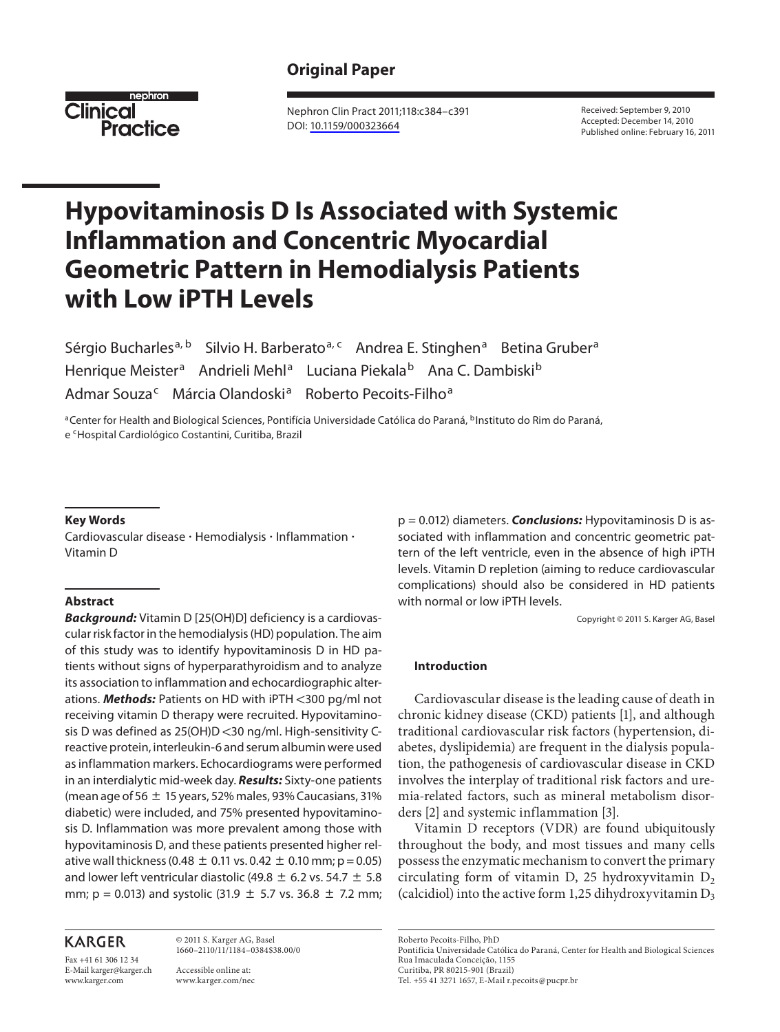# **Original Paper**



 Nephron Clin Pract 2011;118:c384–c391 DOI: [10.1159/000323664](http://dx.doi.org/10.1159%2F000323664)

 Received: September 9, 2010 Accepted: December 14, 2010 Published online: February 16, 2011

# **Hypovitaminosis D Is Associated with Systemic Inflammation and Concentric Myocardial Geometric Pattern in Hemodialysis Patients with Low iPTH Levels**

Sérgio Bucharles<sup>a, b</sup> Silvio H. Barberato<sup>a, c</sup> Andrea E. Stinghen<sup>a</sup> Betina Gruber<sup>a</sup> Henrique Meister<sup>a</sup> Andrieli Mehl<sup>a</sup> Luciana Piekala<sup>b</sup> Ana C. Dambiski<sup>b</sup> Admar Souza<sup>c</sup> Márcia Olandoski<sup>a</sup> Roberto Pecoits-Filho<sup>a</sup>

<sup>a</sup>Center for Health and Biological Sciences, Pontifícia Universidade Católica do Paraná, <sup>b</sup>Instituto do Rim do Paraná, e <sup>c</sup>Hospital Cardiológico Costantini, Curitiba, Brazil

#### **Key Words**

Cardiovascular disease · Hemodialysis · Inflammation · Vitamin D

#### **Abstract**

 *Background:* Vitamin D [25(OH)D] deficiency is a cardiovascular risk factor in the hemodialysis (HD) population. The aim of this study was to identify hypovitaminosis D in HD patients without signs of hyperparathyroidism and to analyze its association to inflammation and echocardiographic alterations. **Methods:** Patients on HD with iPTH <300 pg/ml not receiving vitamin D therapy were recruited. Hypovitaminosis D was defined as  $25(OH)D < 30$  ng/ml. High-sensitivity Creactive protein, interleukin-6 and serum albumin were used as inflammation markers. Echocardiograms were performed in an interdialytic mid-week day. *Results:* Sixty-one patients (mean age of 56  $\pm$  15 years, 52% males, 93% Caucasians, 31% diabetic) were included, and 75% presented hypovitaminosis D. Inflammation was more prevalent among those with hypovitaminosis D, and these patients presented higher relative wall thickness (0.48  $\pm$  0.11 vs. 0.42  $\pm$  0.10 mm; p = 0.05) and lower left ventricular diastolic (49.8  $\pm$  6.2 vs. 54.7  $\pm$  5.8 mm; p = 0.013) and systolic (31.9  $\pm$  5.7 vs. 36.8  $\pm$  7.2 mm;

# **KARGER**

Fax +41 61 306 12 34 E-Mail karger@karger.ch www.karger.com

 © 2011 S. Karger AG, Basel 1660–2110/11/1184–0384\$38.00/0

 Accessible online at: www.karger.com/nec p = 0.012) diameters. *Conclusions:* Hypovitaminosis D is associated with inflammation and concentric geometric pattern of the left ventricle, even in the absence of high iPTH levels. Vitamin D repletion (aiming to reduce cardiovascular complications) should also be considered in HD patients with normal or low iPTH levels.

Copyright © 2011 S. Karger AG, Basel

#### **Introduction**

 Cardiovascular disease is the leading cause of death in chronic kidney disease (CKD) patients [1], and although traditional cardiovascular risk factors (hypertension, diabetes, dyslipidemia) are frequent in the dialysis population, the pathogenesis of cardiovascular disease in CKD involves the interplay of traditional risk factors and uremia-related factors, such as mineral metabolism disorders [2] and systemic inflammation [3].

 Vitamin D receptors (VDR) are found ubiquitously throughout the body, and most tissues and many cells possess the enzymatic mechanism to convert the primary circulating form of vitamin D, 25 hydroxyvitamin  $D_2$ (calcidiol) into the active form 1,25 dihydroxyvitamin  $D_3$ 

Roberto Pecoits-Filho, PhD

 Pontifícia Universidade Católica do Paraná, Center for Health and Biological Sciences Rua Imaculada Conceição, 1155 Curitiba, PR 80215-901 (Brazil)

Tel. +55 41 3271 1657, E-Mail r.pecoits @ pucpr.br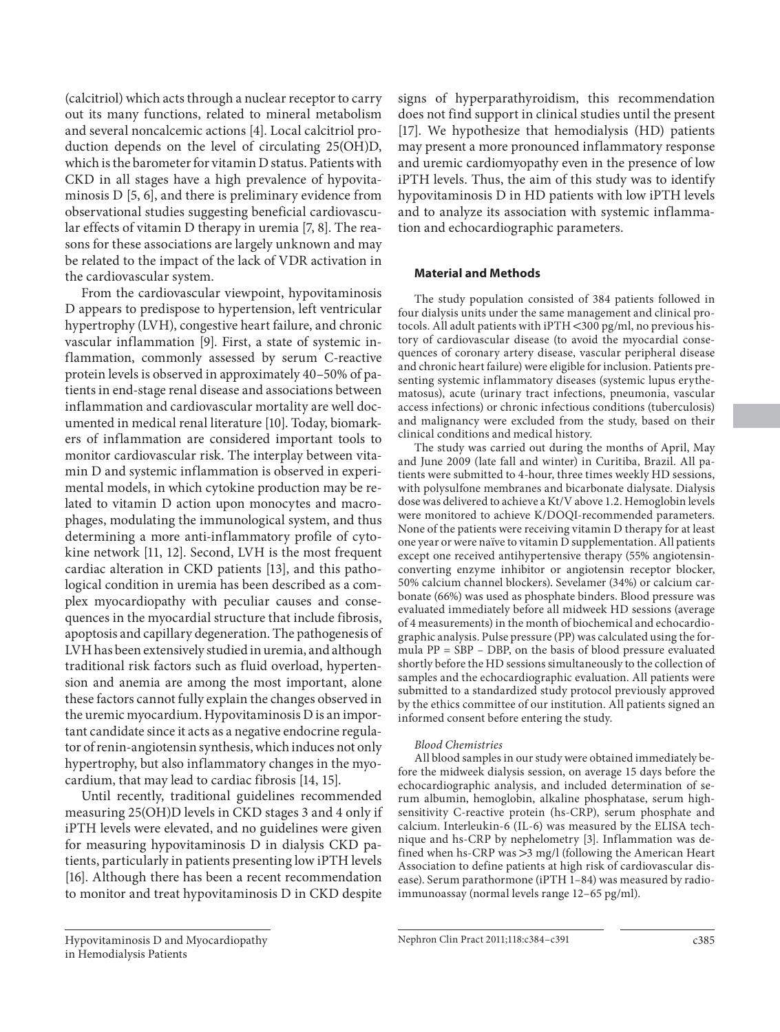(calcitriol) which acts through a nuclear receptor to carry out its many functions, related to mineral metabolism and several noncalcemic actions [4]. Local calcitriol production depends on the level of circulating 25(OH)D, which is the barometer for vitamin D status. Patients with CKD in all stages have a high prevalence of hypovitaminosis  $D$  [5, 6], and there is preliminary evidence from observational studies suggesting beneficial cardiovascular effects of vitamin D therapy in uremia [7, 8]. The reasons for these associations are largely unknown and may be related to the impact of the lack of VDR activation in the cardiovascular system.

 From the cardiovascular viewpoint, hypovitaminosis D appears to predispose to hypertension, left ventricular hypertrophy (LVH), congestive heart failure, and chronic vascular inflammation [9]. First, a state of systemic inflammation, commonly assessed by serum C-reactive protein levels is observed in approximately 40–50% of patients in end-stage renal disease and associations between inflammation and cardiovascular mortality are well documented in medical renal literature [10]. Today, biomarkers of inflammation are considered important tools to monitor cardiovascular risk. The interplay between vitamin D and systemic inflammation is observed in experimental models, in which cytokine production may be related to vitamin D action upon monocytes and macrophages, modulating the immunological system, and thus determining a more anti-inflammatory profile of cytokine network [11, 12]. Second, LVH is the most frequent cardiac alteration in CKD patients [13], and this pathological condition in uremia has been described as a complex myocardiopathy with peculiar causes and consequences in the myocardial structure that include fibrosis, apoptosis and capillary degeneration. The pathogenesis of LVH has been extensively studied in uremia, and although traditional risk factors such as fluid overload, hypertension and anemia are among the most important, alone these factors cannot fully explain the changes observed in the uremic myocardium. Hypovitaminosis D is an important candidate since it acts as a negative endocrine regulator of renin-angiotensin synthesis, which induces not only hypertrophy, but also inflammatory changes in the myocardium, that may lead to cardiac fibrosis [14, 15] .

 Until recently, traditional guidelines recommended measuring 25(OH)D levels in CKD stages 3 and 4 only if iPTH levels were elevated, and no guidelines were given for measuring hypovitaminosis D in dialysis CKD patients, particularly in patients presenting low iPTH levels [16]. Although there has been a recent recommendation to monitor and treat hypovitaminosis D in CKD despite

signs of hyperparathyroidism, this recommendation does not find support in clinical studies until the present [17]. We hypothesize that hemodialysis (HD) patients may present a more pronounced inflammatory response and uremic cardiomyopathy even in the presence of low iPTH levels. Thus, the aim of this study was to identify hypovitaminosis D in HD patients with low iPTH levels and to analyze its association with systemic inflammation and echocardiographic parameters.

#### **Material and Methods**

 The study population consisted of 384 patients followed in four dialysis units under the same management and clinical protocols. All adult patients with  $iPTH < 300$  pg/ml, no previous history of cardiovascular disease (to avoid the myocardial consequences of coronary artery disease, vascular peripheral disease and chronic heart failure) were eligible for inclusion. Patients presenting systemic inflammatory diseases (systemic lupus erythematosus), acute (urinary tract infections, pneumonia, vascular access infections) or chronic infectious conditions (tuberculosis) and malignancy were excluded from the study, based on their clinical conditions and medical history.

 The study was carried out during the months of April, May and June 2009 (late fall and winter) in Curitiba, Brazil. All patients were submitted to 4-hour, three times weekly HD sessions, with polysulfone membranes and bicarbonate dialysate. Dialysis dose was delivered to achieve a Kt/V above 1.2. Hemoglobin levels were monitored to achieve K/DOQI-recommended parameters. None of the patients were receiving vitamin D therapy for at least one year or were naïve to vitamin D supplementation. All patients except one received antihypertensive therapy (55% angiotensinconverting enzyme inhibitor or angiotensin receptor blocker, 50% calcium channel blockers). Sevelamer (34%) or calcium carbonate (66%) was used as phosphate binders. Blood pressure was evaluated immediately before all midweek HD sessions (average of 4 measurements) in the month of biochemical and echocardiographic analysis. Pulse pressure (PP) was calculated using the formula PP = SBP – DBP, on the basis of blood pressure evaluated shortly before the HD sessions simultaneously to the collection of samples and the echocardiographic evaluation. All patients were submitted to a standardized study protocol previously approved by the ethics committee of our institution. All patients signed an informed consent before entering the study.

#### *Blood Chemistries*

 All blood samples in our study were obtained immediately before the midweek dialysis session, on average 15 days before the echocardiographic analysis, and included determination of serum albumin, hemoglobin, alkaline phosphatase, serum highsensitivity C-reactive protein (hs-CRP), serum phosphate and calcium. Interleukin-6 (IL-6) was measured by the ELISA technique and hs-CRP by nephelometry [3]. Inflammation was defined when hs-CRP was  $>$ 3 mg/l (following the American Heart Association to define patients at high risk of cardiovascular disease). Serum parathormone (iPTH 1–84) was measured by radioimmunoassay (normal levels range 12–65 pg/ml).

Hypovitaminosis D and Myocardiopathy in Hemodialysis Patients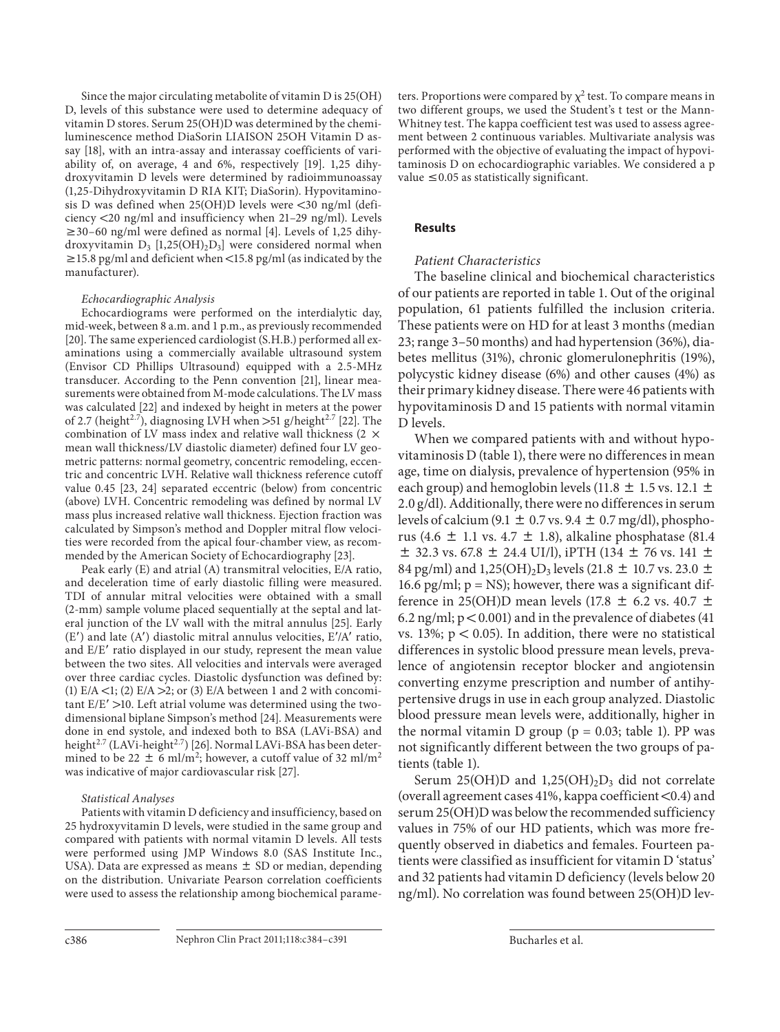Since the major circulating metabolite of vitamin D is 25(OH) D, levels of this substance were used to determine adequacy of vitamin D stores. Serum 25(OH)D was determined by the chemiluminescence method DiaSorin LIAISON 25OH Vitamin D assay [18], with an intra-assay and interassay coefficients of variability of, on average, 4 and 6%, respectively  $[19]$ . 1,25 dihydroxyvitamin D levels were determined by radioimmunoassay (1,25-Dihydroxyvitamin D RIA KIT; DiaSorin). Hypovitaminosis D was defined when  $25(OH)D$  levels were <30 ng/ml (deficiency  $\langle 20 \text{ ng/ml}$  and insufficiency when 21–29 ng/ml). Levels  $\geq$  30–60 ng/ml were defined as normal [4]. Levels of 1,25 dihydroxyvitamin  $D_3$  [1,25(OH)<sub>2</sub> $D_3$ ] were considered normal when  $\ge$  15.8 pg/ml and deficient when <15.8 pg/ml (as indicated by the manufacturer).

#### *Echocardiographic Analysis*

 Echocardiograms were performed on the interdialytic day, mid-week, between 8 a.m. and 1 p.m., as previously recommended [20]. The same experienced cardiologist (S.H.B.) performed all examinations using a commercially available ultrasound system (Envisor CD Phillips Ultrasound) equipped with a 2.5-MHz transducer. According to the Penn convention [21], linear measurements were obtained from M-mode calculations. The LV mass was calculated [22] and indexed by height in meters at the power of 2.7 (height<sup>2.7</sup>), diagnosing LVH when  $>51$  g/height<sup>2.7</sup> [22]. The combination of LV mass index and relative wall thickness (2  $\times$ mean wall thickness/LV diastolic diameter) defined four LV geometric patterns: normal geometry, concentric remodeling, eccentric and concentric LVH. Relative wall thickness reference cutoff value 0.45 [23, 24] separated eccentric (below) from concentric (above) LVH. Concentric remodeling was defined by normal LV mass plus increased relative wall thickness. Ejection fraction was calculated by Simpson's method and Doppler mitral flow velocities were recorded from the apical four-chamber view, as recommended by the American Society of Echocardiography [23] .

 Peak early (E) and atrial (A) transmitral velocities, E/A ratio, and deceleration time of early diastolic filling were measured. TDI of annular mitral velocities were obtained with a small (2-mm) sample volume placed sequentially at the septal and lateral junction of the LV wall with the mitral annulus [25]. Early  $(E')$  and late  $(A')$  diastolic mitral annulus velocities,  $E'/A'$  ratio, and E/E' ratio displayed in our study, represent the mean value between the two sites. All velocities and intervals were averaged over three cardiac cycles. Diastolic dysfunction was defined by: (1)  $E/A < 1$ ; (2)  $E/A > 2$ ; or (3)  $E/A$  between 1 and 2 with concomitant  $E/E'$  >10. Left atrial volume was determined using the twodimensional biplane Simpson's method [24] . Measurements were done in end systole, and indexed both to BSA (LAVi-BSA) and height<sup>2.7</sup> (LAVi-height<sup>2.7</sup>) [26]. Normal LAVi-BSA has been determined to be 22  $\pm$  6 ml/m<sup>2</sup>; however, a cutoff value of 32 ml/m<sup>2</sup> was indicative of major cardiovascular risk [27] .

### *Statistical Analyses*

 Patients with vitamin D deficiency and insufficiency, based on 25 hydroxyvitamin D levels, were studied in the same group and compared with patients with normal vitamin D levels. All tests were performed using JMP Windows 8.0 (SAS Institute Inc., USA). Data are expressed as means  $\pm$  SD or median, depending on the distribution. Univariate Pearson correlation coefficients were used to assess the relationship among biochemical parame-

ters. Proportions were compared by  $\chi^2$  test. To compare means in two different groups, we used the Student's t test or the Mann-Whitney test. The kappa coefficient test was used to assess agreement between 2 continuous variables. Multivariate analysis was performed with the objective of evaluating the impact of hypovitaminosis D on echocardiographic variables. We considered a p value  $\leq 0.05$  as statistically significant.

## **Results**

# *Patient Characteristics*

 The baseline clinical and biochemical characteristics of our patients are reported in table 1. Out of the original population, 61 patients fulfilled the inclusion criteria. These patients were on HD for at least 3 months (median 23; range 3–50 months) and had hypertension (36%), diabetes mellitus (31%), chronic glomerulonephritis (19%), polycystic kidney disease (6%) and other causes (4%) as their primary kidney disease. There were 46 patients with hypovitaminosis D and 15 patients with normal vitamin D levels.

 When we compared patients with and without hypovitaminosis  $D$  (table 1), there were no differences in mean age, time on dialysis, prevalence of hypertension (95% in each group) and hemoglobin levels (11.8  $\pm$  1.5 vs. 12.1  $\pm$ 2.0 g/dl). Additionally, there were no differences in serum levels of calcium (9.1  $\pm$  0.7 vs. 9.4  $\pm$  0.7 mg/dl), phosphorus (4.6  $\pm$  1.1 vs. 4.7  $\pm$  1.8), alkaline phosphatase (81.4  $\pm$  32.3 vs. 67.8  $\pm$  24.4 UI/l), iPTH (134  $\pm$  76 vs. 141  $\pm$ 84 pg/ml) and 1,25(OH)<sub>2</sub>D<sub>3</sub> levels (21.8  $\pm$  10.7 vs. 23.0  $\pm$ 16.6 pg/ml;  $p = NS$ ); however, there was a significant difference in 25(OH)D mean levels (17.8  $\pm$  6.2 vs. 40.7  $\pm$ 6.2 ng/ml;  $p < 0.001$ ) and in the prevalence of diabetes (41 vs. 13%;  $p < 0.05$ ). In addition, there were no statistical differences in systolic blood pressure mean levels, prevalence of angiotensin receptor blocker and angiotensin converting enzyme prescription and number of antihypertensive drugs in use in each group analyzed. Diastolic blood pressure mean levels were, additionally, higher in the normal vitamin D group ( $p = 0.03$ ; table 1). PP was not significantly different between the two groups of patients (table 1).

Serum 25(OH)D and 1,25(OH)<sub>2</sub>D<sub>3</sub> did not correlate (overall agreement cases  $41\%$ , kappa coefficient <0.4) and serum 25(OH)D was below the recommended sufficiency values in 75% of our HD patients, which was more frequently observed in diabetics and females. Fourteen patients were classified as insufficient for vitamin D 'status' and 32 patients had vitamin D deficiency (levels below 20 ng/ml). No correlation was found between 25(OH)D lev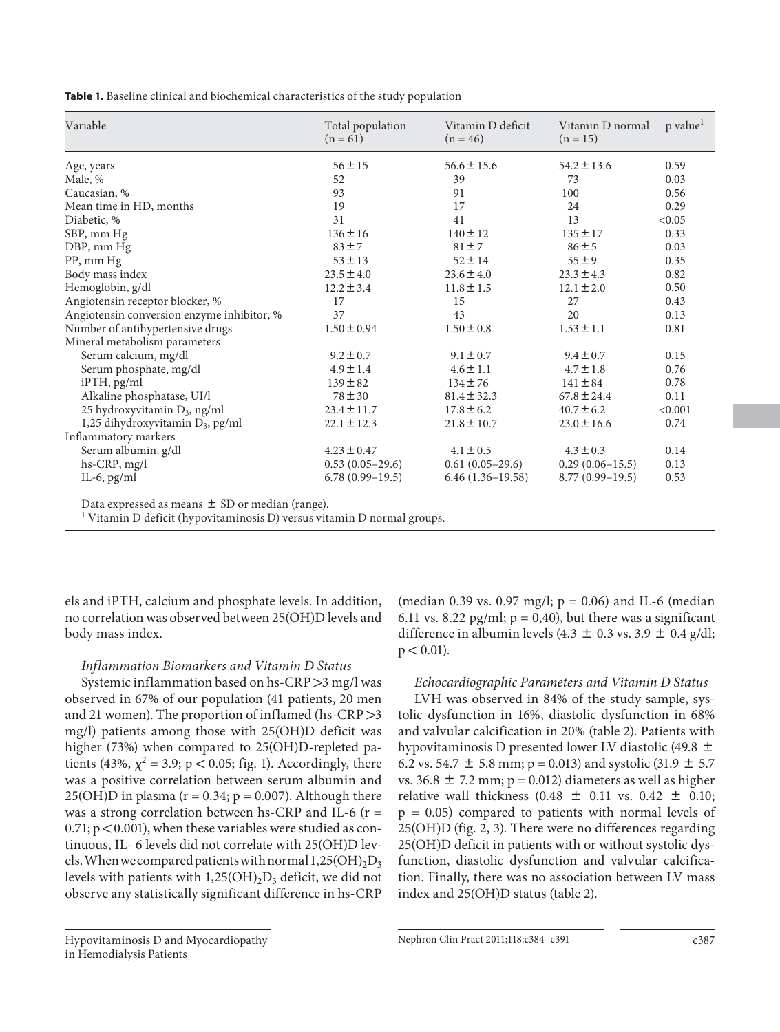**Table 1.** Baseline clinical and biochemical characteristics of the study population

| Variable                                     | Total population<br>$(n = 61)$ | Vitamin D deficit<br>$(n = 46)$ | Vitamin D normal<br>$(n = 15)$ | p value <sup>1</sup> |
|----------------------------------------------|--------------------------------|---------------------------------|--------------------------------|----------------------|
| Age, years                                   | $56 \pm 15$                    | $56.6 \pm 15.6$                 | $54.2 \pm 13.6$                | 0.59                 |
| Male, %                                      | 52                             | 39                              | 73                             | 0.03                 |
| Caucasian, %                                 | 93                             | 91                              | 100                            | 0.56                 |
| Mean time in HD, months                      | 19                             | 17                              | 24                             | 0.29                 |
| Diabetic, %                                  | 31                             | 41                              | 13                             | < 0.05               |
| SBP, mm Hg                                   | $136 \pm 16$                   | $140 \pm 12$                    | $135 \pm 17$                   | 0.33                 |
| DBP, mm Hg                                   | $83 \pm 7$                     | $81 \pm 7$                      | $86 \pm 5$                     | 0.03                 |
| PP, mm Hg                                    | $53 \pm 13$                    | $52 \pm 14$                     | $55 \pm 9$                     | 0.35                 |
| Body mass index                              | $23.5 \pm 4.0$                 | $23.6 \pm 4.0$                  | $23.3 \pm 4.3$                 | 0.82                 |
| Hemoglobin, g/dl                             | $12.2 \pm 3.4$                 | $11.8 \pm 1.5$                  | $12.1 \pm 2.0$                 | 0.50                 |
| Angiotensin receptor blocker, %              | 17                             | 15                              | 27                             | 0.43                 |
| Angiotensin conversion enzyme inhibitor, %   | 37                             | 43                              | 20                             | 0.13                 |
| Number of antihypertensive drugs             | $1.50 \pm 0.94$                | $1.50 \pm 0.8$                  | $1.53 \pm 1.1$                 | 0.81                 |
| Mineral metabolism parameters                |                                |                                 |                                |                      |
| Serum calcium, mg/dl                         | $9.2 \pm 0.7$                  | $9.1 \pm 0.7$                   | $9.4 \pm 0.7$                  | 0.15                 |
| Serum phosphate, mg/dl                       | $4.9 \pm 1.4$                  | $4.6 \pm 1.1$                   | $4.7 \pm 1.8$                  | 0.76                 |
| iPTH, pg/ml                                  | $139 \pm 82$                   | $134 \pm 76$                    | $141 \pm 84$                   | 0.78                 |
| Alkaline phosphatase, UI/l                   | $78 \pm 30$                    | $81.4 \pm 32.3$                 | $67.8 \pm 24.4$                | 0.11                 |
| 25 hydroxyvitamin D <sub>3</sub> , ng/ml     | $23.4 \pm 11.7$                | $17.8 \pm 6.2$                  | $40.7 \pm 6.2$                 | < 0.001              |
| 1,25 dihydroxyvitamin D <sub>3</sub> , pg/ml | $22.1 \pm 12.3$                | $21.8 \pm 10.7$                 | $23.0 \pm 16.6$                | 0.74                 |
| Inflammatory markers                         |                                |                                 |                                |                      |
| Serum albumin, g/dl                          | $4.23 \pm 0.47$                | $4.1 \pm 0.5$                   | $4.3 \pm 0.3$                  | 0.14                 |
| hs-CRP, mg/l                                 | $0.53(0.05-29.6)$              | $0.61(0.05-29.6)$               | $0.29(0.06-15.5)$              | 0.13                 |
| IL-6, $pg/ml$                                | $6.78(0.99-19.5)$              | $6.46(1.36-19.58)$              | $8.77(0.99-19.5)$              | 0.53                 |

Data expressed as means  $\pm$  SD or median (range).

<sup>1</sup> Vitamin D deficit (hypovitaminosis D) versus vitamin D normal groups.

els and iPTH, calcium and phosphate levels. In addition, no correlation was observed between 25(OH)D levels and body mass index.

# *Inflammation Biomarkers and Vitamin D Status*

Systemic inflammation based on hs-CRP  $>$ 3 mg/l was observed in 67% of our population (41 patients, 20 men and 21 women). The proportion of inflamed (hs-CRP $>3$ mg/l) patients among those with 25(OH)D deficit was higher (73%) when compared to 25(OH)D-repleted patients (43%,  $\chi^2$  = 3.9; p < 0.05; fig. 1). Accordingly, there was a positive correlation between serum albumin and 25(OH)D in plasma ( $r = 0.34$ ;  $p = 0.007$ ). Although there was a strong correlation between hs-CRP and IL-6 ( $r =$  $0.71$ ;  $p < 0.001$ ), when these variables were studied as continuous, IL- 6 levels did not correlate with 25(OH)D levels. When we compared patients with normal  $1,25(OH)_2D_3$ levels with patients with  $1,25(OH)_2D_3$  deficit, we did not observe any statistically significant difference in hs-CRP

(median 0.39 vs. 0.97 mg/l;  $p = 0.06$ ) and IL-6 (median 6.11 vs. 8.22 pg/ml;  $p = 0.40$ ), but there was a significant difference in albumin levels (4.3  $\pm$  0.3 vs. 3.9  $\pm$  0.4 g/dl;  $p < 0.01$ ).

# *Echocardiographic Parameters and Vitamin D Status*

 LVH was observed in 84% of the study sample, systolic dysfunction in 16%, diastolic dysfunction in 68% and valvular calcification in 20% (table 2). Patients with hypovitaminosis D presented lower LV diastolic (49.8  $\pm$ 6.2 vs. 54.7  $\pm$  5.8 mm; p = 0.013) and systolic (31.9  $\pm$  5.7 vs. 36.8  $\pm$  7.2 mm; p = 0.012) diameters as well as higher relative wall thickness (0.48  $\pm$  0.11 vs. 0.42  $\pm$  0.10;  $p = 0.05$ ) compared to patients with normal levels of 25(OH)D (fig. 2, 3). There were no differences regarding 25(OH)D deficit in patients with or without systolic dysfunction, diastolic dysfunction and valvular calcification. Finally, there was no association between LV mass index and 25(OH)D status (table 2).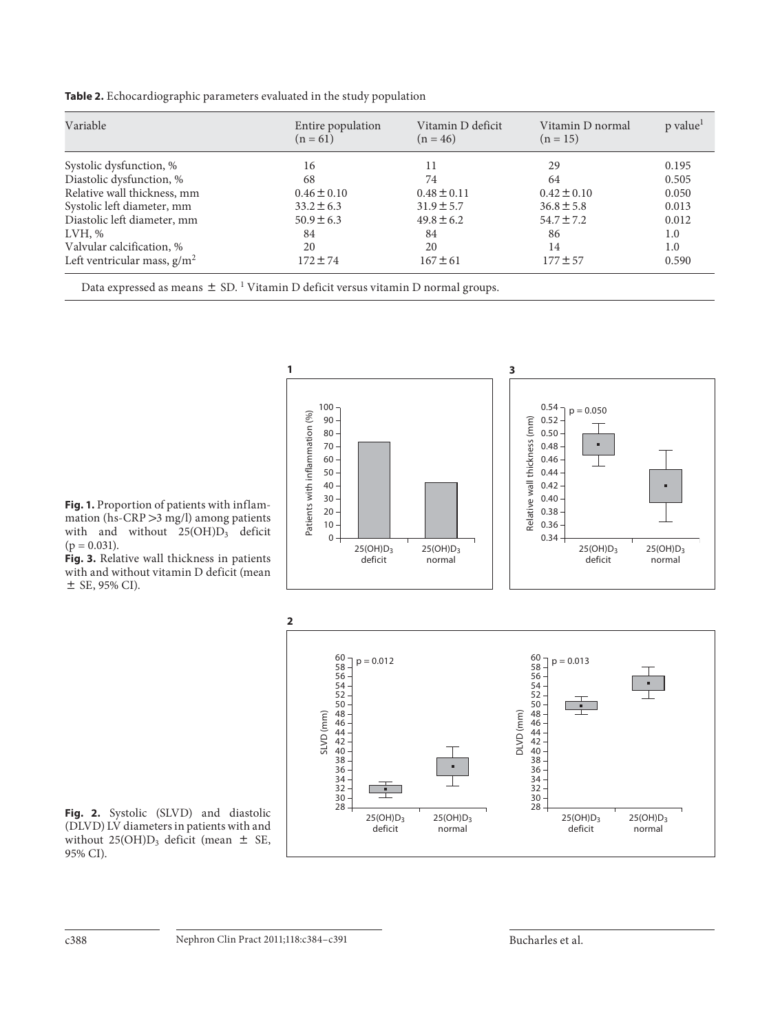**Table 2.** Echocardiographic parameters evaluated in the study population

| Variable                       | Entire population<br>$(n = 61)$ | Vitamin D deficit<br>$(n = 46)$ | Vitamin D normal<br>$(n = 15)$ | p value <sup>1</sup> |
|--------------------------------|---------------------------------|---------------------------------|--------------------------------|----------------------|
| Systolic dysfunction, %        | 16                              | 11                              | 29                             | 0.195                |
| Diastolic dysfunction, %       | 68                              | 74                              | 64                             | 0.505                |
| Relative wall thickness, mm    | $0.46 \pm 0.10$                 | $0.48 \pm 0.11$                 | $0.42 \pm 0.10$                | 0.050                |
| Systolic left diameter, mm     | $33.2 \pm 6.3$                  | $31.9 \pm 5.7$                  | $36.8 \pm 5.8$                 | 0.013                |
| Diastolic left diameter, mm    | $50.9 \pm 6.3$                  | $49.8 \pm 6.2$                  | $54.7 \pm 7.2$                 | 0.012                |
| LVH, %                         | 84                              | 84                              | 86                             | 1.0                  |
| Valvular calcification, %      | 20                              | 20                              | 14                             | 1.0                  |
| Left ventricular mass, $g/m^2$ | $172 \pm 74$                    | $167 \pm 61$                    | $177 \pm 57$                   | 0.590                |

**1 3** 100 0.54  $p = 0.050$ Patients with inflammation (%) Patients with inflammation (%) 90 Relative wall thickness (mm) 0.52 Relative wall thickness (mm) 80 0.50 70 0.48 60 0.46 50 0.44 40 0.42 30 0.40 20 0.38 10 0.36  $0 -$ 0.34 25(OH)D3 25(OH)D3 25(OH)D3 25(OH)D3 deficit normal deficit normal **2**60  $p = 0.012$  $p = 0.013$ 58

 **Fig. 1.** Proportion of patients with inflammation (hs-CRP  $>$  3 mg/l) among patients with and without  $25(OH)D_3$  deficit  $(p = 0.031)$ .

 **Fig. 3.** Relative wall thickness in patients with and without vitamin D deficit (mean  $\pm$  SE, 95% CI).



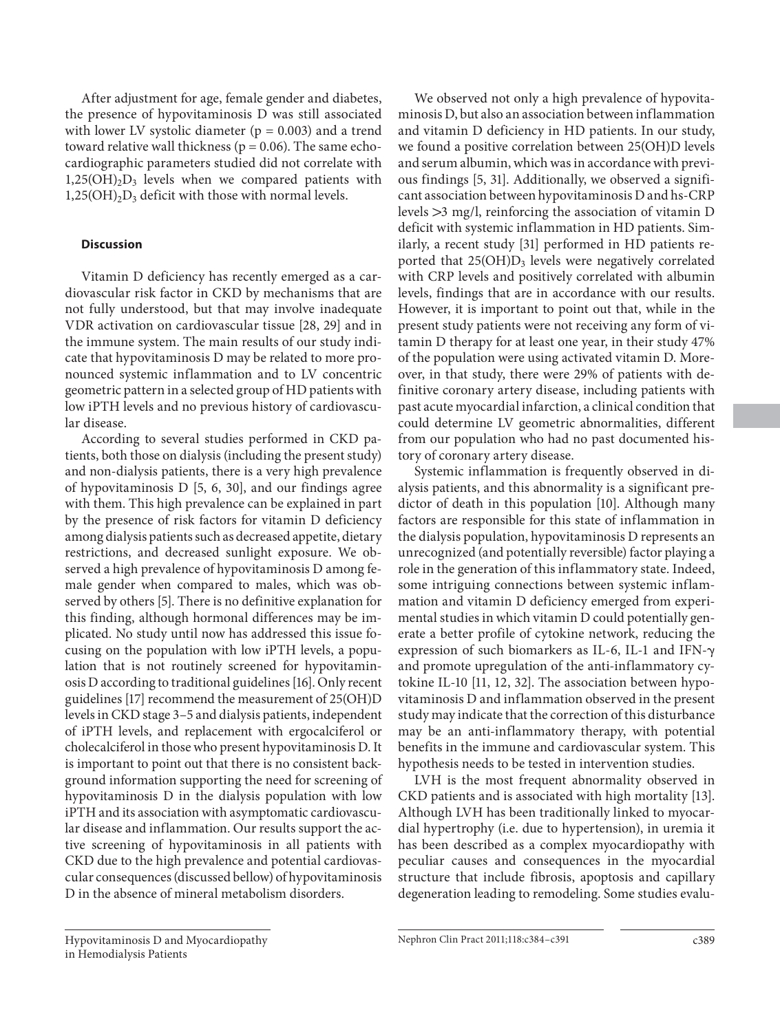After adjustment for age, female gender and diabetes, the presence of hypovitaminosis D was still associated with lower LV systolic diameter ( $p = 0.003$ ) and a trend toward relative wall thickness ( $p = 0.06$ ). The same echocardiographic parameters studied did not correlate with  $1,25(OH)_{2}D_{3}$  levels when we compared patients with  $1,25(OH)_{2}D_{3}$  deficit with those with normal levels.

## **Discussion**

 Vitamin D deficiency has recently emerged as a cardiovascular risk factor in CKD by mechanisms that are not fully understood, but that may involve inadequate VDR activation on cardiovascular tissue [28, 29] and in the immune system. The main results of our study indicate that hypovitaminosis D may be related to more pronounced systemic inflammation and to LV concentric geometric pattern in a selected group of HD patients with low iPTH levels and no previous history of cardiovascular disease.

 According to several studies performed in CKD patients, both those on dialysis (including the present study) and non-dialysis patients, there is a very high prevalence of hypovitaminosis  $D$  [5, 6, 30], and our findings agree with them. This high prevalence can be explained in part by the presence of risk factors for vitamin D deficiency among dialysis patients such as decreased appetite, dietary restrictions, and decreased sunlight exposure. We observed a high prevalence of hypovitaminosis D among female gender when compared to males, which was observed by others [5]. There is no definitive explanation for this finding, although hormonal differences may be implicated. No study until now has addressed this issue focusing on the population with low iPTH levels, a population that is not routinely screened for hypovitaminosis D according to traditional guidelines [16] . Only recent guidelines [17] recommend the measurement of 25(OH)D levels in CKD stage 3–5 and dialysis patients, independent of iPTH levels, and replacement with ergocalciferol or cholecalciferol in those who present hypovitaminosis D. It is important to point out that there is no consistent background information supporting the need for screening of hypovitaminosis D in the dialysis population with low iPTH and its association with asymptomatic cardiovascular disease and inflammation. Our results support the active screening of hypovitaminosis in all patients with CKD due to the high prevalence and potential cardiovascular consequences (discussed bellow) of hypovitaminosis D in the absence of mineral metabolism disorders.

 We observed not only a high prevalence of hypovitaminosis D, but also an association between inflammation and vitamin D deficiency in HD patients. In our study, we found a positive correlation between 25(OH)D levels and serum albumin, which was in accordance with previous findings [5, 31]. Additionally, we observed a significant association between hypovitaminosis D and hs-CRP levels  $>3$  mg/l, reinforcing the association of vitamin D deficit with systemic inflammation in HD patients. Similarly, a recent study [31] performed in HD patients reported that  $25(OH)D<sub>3</sub>$  levels were negatively correlated with CRP levels and positively correlated with albumin levels, findings that are in accordance with our results. However, it is important to point out that, while in the present study patients were not receiving any form of vitamin D therapy for at least one year, in their study 47% of the population were using activated vitamin D. Moreover, in that study, there were 29% of patients with definitive coronary artery disease, including patients with past acute myocardial infarction, a clinical condition that could determine LV geometric abnormalities, different from our population who had no past documented history of coronary artery disease.

 Systemic inflammation is frequently observed in dialysis patients, and this abnormality is a significant predictor of death in this population [10]. Although many factors are responsible for this state of inflammation in the dialysis population, hypovitaminosis D represents an unrecognized (and potentially reversible) factor playing a role in the generation of this inflammatory state. Indeed, some intriguing connections between systemic inflammation and vitamin D deficiency emerged from experimental studies in which vitamin D could potentially generate a better profile of cytokine network, reducing the expression of such biomarkers as IL-6, IL-1 and IFN and promote upregulation of the anti-inflammatory cytokine IL-10 [11, 12, 32]. The association between hypovitaminosis D and inflammation observed in the present study may indicate that the correction of this disturbance may be an anti-inflammatory therapy, with potential benefits in the immune and cardiovascular system. This hypothesis needs to be tested in intervention studies.

 LVH is the most frequent abnormality observed in CKD patients and is associated with high mortality [13] . Although LVH has been traditionally linked to myocardial hypertrophy (i.e. due to hypertension), in uremia it has been described as a complex myocardiopathy with peculiar causes and consequences in the myocardial structure that include fibrosis, apoptosis and capillary degeneration leading to remodeling. Some studies evalu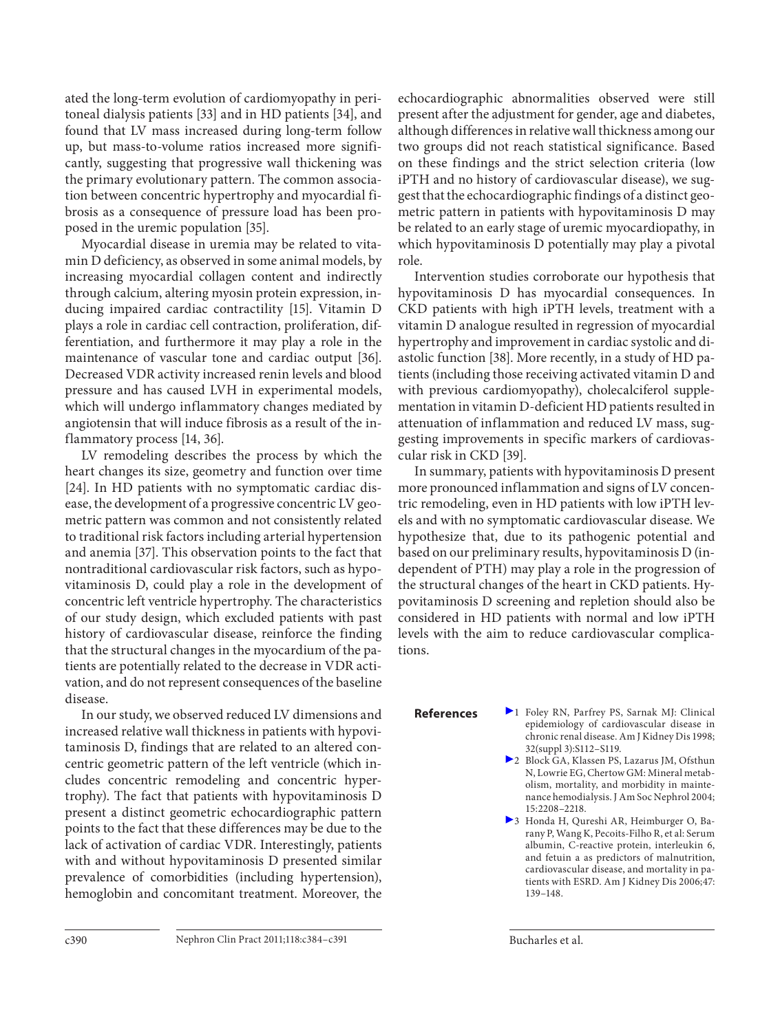ated the long-term evolution of cardiomyopathy in peritoneal dialysis patients [33] and in HD patients [34], and found that LV mass increased during long-term follow up, but mass-to-volume ratios increased more significantly, suggesting that progressive wall thickening was the primary evolutionary pattern. The common association between concentric hypertrophy and myocardial fibrosis as a consequence of pressure load has been proposed in the uremic population [35] .

 Myocardial disease in uremia may be related to vitamin D deficiency, as observed in some animal models, by increasing myocardial collagen content and indirectly through calcium, altering myosin protein expression, inducing impaired cardiac contractility [15]. Vitamin D plays a role in cardiac cell contraction, proliferation, differentiation, and furthermore it may play a role in the maintenance of vascular tone and cardiac output [36]. Decreased VDR activity increased renin levels and blood pressure and has caused LVH in experimental models, which will undergo inflammatory changes mediated by angiotensin that will induce fibrosis as a result of the inflammatory process [14, 36].

 LV remodeling describes the process by which the heart changes its size, geometry and function over time [24]. In HD patients with no symptomatic cardiac disease, the development of a progressive concentric LV geometric pattern was common and not consistently related to traditional risk factors including arterial hypertension and anemia [37]. This observation points to the fact that nontraditional cardiovascular risk factors, such as hypovitaminosis D, could play a role in the development of concentric left ventricle hypertrophy. The characteristics of our study design, which excluded patients with past history of cardiovascular disease, reinforce the finding that the structural changes in the myocardium of the patients are potentially related to the decrease in VDR activation, and do not represent consequences of the baseline disease.

 In our study, we observed reduced LV dimensions and increased relative wall thickness in patients with hypovitaminosis D, findings that are related to an altered concentric geometric pattern of the left ventricle (which includes concentric remodeling and concentric hypertrophy). The fact that patients with hypovitaminosis D present a distinct geometric echocardiographic pattern points to the fact that these differences may be due to the lack of activation of cardiac VDR. Interestingly, patients with and without hypovitaminosis D presented similar prevalence of comorbidities (including hypertension), hemoglobin and concomitant treatment. Moreover, the echocardiographic abnormalities observed were still present after the adjustment for gender, age and diabetes, although differences in relative wall thickness among our two groups did not reach statistical significance. Based on these findings and the strict selection criteria (low iPTH and no history of cardiovascular disease), we suggest that the echocardiographic findings of a distinct geometric pattern in patients with hypovitaminosis D may be related to an early stage of uremic myocardiopathy, in which hypovitaminosis D potentially may play a pivotal role.

 Intervention studies corroborate our hypothesis that hypovitaminosis D has myocardial consequences. In CKD patients with high iPTH levels, treatment with a vitamin D analogue resulted in regression of myocardial hypertrophy and improvement in cardiac systolic and diastolic function [38]. More recently, in a study of HD patients (including those receiving activated vitamin D and with previous cardiomy opathy), cholecal ciferol supplementation in vitamin D-deficient HD patients resulted in attenuation of inflammation and reduced LV mass, suggesting improvements in specific markers of cardiovascular risk in CKD [39].

 In summary, patients with hypovitaminosis D present more pronounced inflammation and signs of LV concentric remodeling, even in HD patients with low iPTH levels and with no symptomatic cardiovascular disease. We hypothesize that, due to its pathogenic potential and based on our preliminary results, hypovitaminosis D (independent of PTH) may play a role in the progression of the structural changes of the heart in CKD patients. Hypovitaminosis D screening and repletion should also be considered in HD patients with normal and low iPTH levels with the aim to reduce cardiovascular complications.

- **References** 2 Foley RN, Parfrey PS, Sarnak MJ: Clinical epidemiology of cardiovascular disease in chronic renal disease. Am J Kidney Dis 1998; 32(suppl 3):S112–S119.
	- ▶ 2 Block GA, Klassen PS, Lazarus JM, Ofsthun N, Lowrie EG, Chertow GM: Mineral metabolism, mortality, and morbidity in maintenance hemodialysis. J Am Soc Nephrol 2004; 15: 2208–2218.
	- 3 Honda H, Qureshi AR, Heimburger O, Barany P, Wang K, Pecoits-Filho R, et al: Serum albumin, C-reactive protein, interleukin 6, and fetuin a as predictors of malnutrition, cardiovascular disease, and mortality in patients with ESRD. Am J Kidney Dis 2006; 47: 139–148.